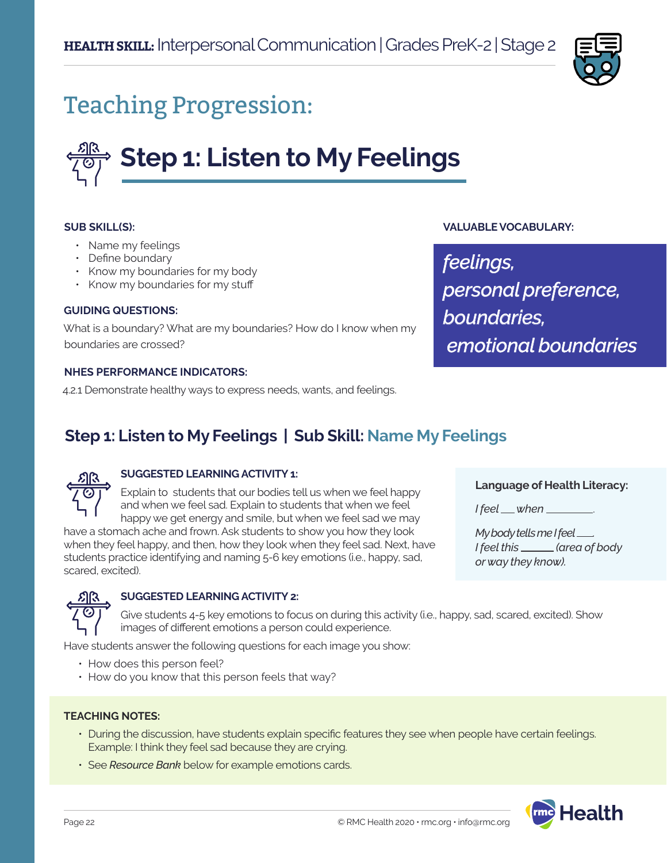

## Teaching Progression:

# **Step 1: Listen to My Feelings**

#### **SUB SKILL(S):**

- Name my feelings
- Define boundary
- Know my boundaries for my body
- Know my boundaries for my stuff

#### **GUIDING QUESTIONS:**

What is a boundary? What are my boundaries? How do I know when my boundaries are crossed?

#### **NHES PERFORMANCE INDICATORS:**

4.2.1 Demonstrate healthy ways to express needs, wants, and feelings.

### **Step 1: Listen to My Feelings | Sub Skill: Name My Feelings**



#### **SUGGESTED LEARNING ACTIVITY 1:**

Explain to students that our bodies tell us when we feel happy and when we feel sad. Explain to students that when we feel happy we get energy and smile, but when we feel sad we may

have a stomach ache and frown. Ask students to show you how they look when they feel happy, and then, how they look when they feel sad. Next, have students practice identifying and naming 5-6 key emotions (i.e., happy, sad, scared, excited).

#### **Language of Health Literacy:**

*I* feel \_\_ when \_\_\_\_\_\_\_\_.

**VALUABLE VOCABULARY:**

*personal preference,* 

 *emotional boundaries*

*feelings,* 

*boundaries,* 

*My body tells me I feel . I* feel this \_\_\_\_\_\_\_ (area of body *or way they know).*



#### **SUGGESTED LEARNING ACTIVITY 2:**

Give students 4-5 key emotions to focus on during this activity (i.e., happy, sad, scared, excited). Show images of different emotions a person could experience.

Have students answer the following questions for each image you show:

- How does this person feel?
- How do you know that this person feels that way?

#### **TEACHING NOTES:**

- During the discussion, have students explain specific features they see when people have certain feelings. Example: I think they feel sad because they are crying.
- See *Resource Bank* below for example emotions cards.

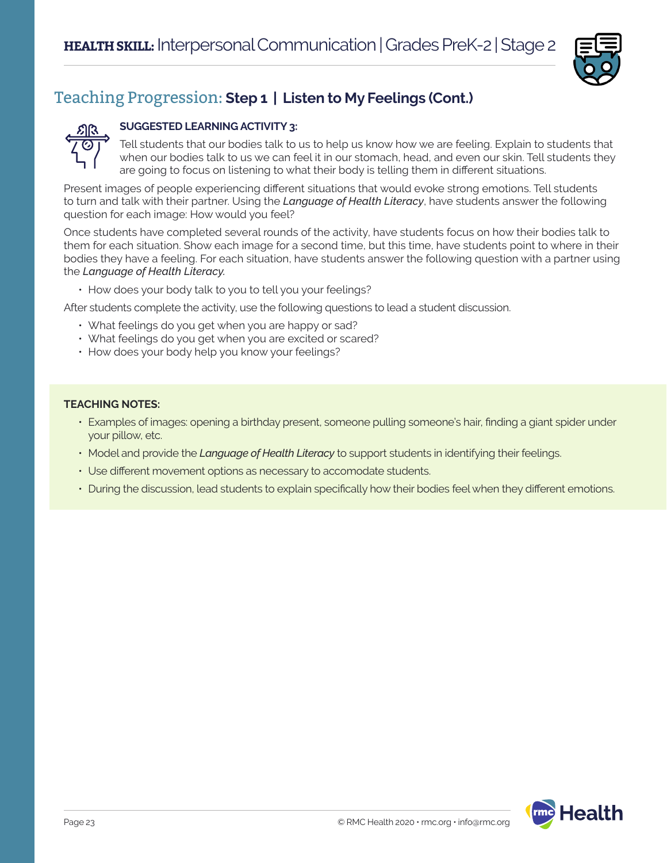

### **SUGGESTED LEARNING ACTIVITY 3:**

Tell students that our bodies talk to us to help us know how we are feeling. Explain to students that when our bodies talk to us we can feel it in our stomach, head, and even our skin. Tell students they are going to focus on listening to what their body is telling them in different situations.

Present images of people experiencing different situations that would evoke strong emotions. Tell students to turn and talk with their partner. Using the *Language of Health Literacy*, have students answer the following question for each image: How would you feel?

Once students have completed several rounds of the activity, have students focus on how their bodies talk to them for each situation. Show each image for a second time, but this time, have students point to where in their bodies they have a feeling. For each situation, have students answer the following question with a partner using the *Language of Health Literacy.* 

• How does your body talk to you to tell you your feelings?

After students complete the activity, use the following questions to lead a student discussion.

- What feelings do you get when you are happy or sad?
- What feelings do you get when you are excited or scared?
- How does your body help you know your feelings?

#### **TEACHING NOTES:**

- Examples of images: opening a birthday present, someone pulling someone's hair, finding a giant spider under your pillow, etc.
- Model and provide the *Language of Health Literacy* to support students in identifying their feelings.
- Use different movement options as necessary to accomodate students.
- During the discussion, lead students to explain specifically how their bodies feel when they different emotions.

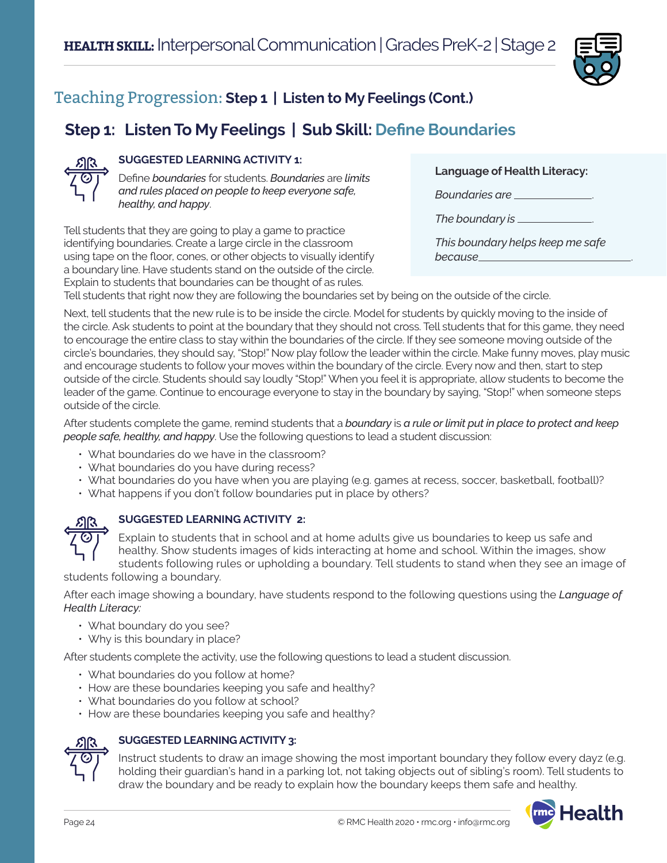

### **Step 1: Listen To My Feelings | Sub Skill: Define Boundaries**



### **SUGGESTED LEARNING ACTIVITY 1:**

Define *boundaries* for students. *Boundaries* are *limits and rules placed on people to keep everyone safe, healthy, and happy*.

Tell students that they are going to play a game to practice identifying boundaries. Create a large circle in the classroom using tape on the floor, cones, or other objects to visually identify a boundary line. Have students stand on the outside of the circle. Explain to students that boundaries can be thought of as rules.

| <b>Language of Health Literacy:</b> |  |  |
|-------------------------------------|--|--|
|-------------------------------------|--|--|

*Boundaries are* .

*The boundary is* .

*This boundary helps keep me safe because* .

Tell students that right now they are following the boundaries set by being on the outside of the circle.

Next, tell students that the new rule is to be inside the circle. Model for students by quickly moving to the inside of the circle. Ask students to point at the boundary that they should not cross. Tell students that for this game, they need to encourage the entire class to stay within the boundaries of the circle. If they see someone moving outside of the circle's boundaries, they should say, "Stop!" Now play follow the leader within the circle. Make funny moves, play music and encourage students to follow your moves within the boundary of the circle. Every now and then, start to step outside of the circle. Students should say loudly "Stop!" When you feel it is appropriate, allow students to become the leader of the game. Continue to encourage everyone to stay in the boundary by saying, "Stop!" when someone steps outside of the circle.

After students complete the game, remind students that a *boundary* is *a rule or limit put in place to protect and keep people safe, healthy, and happy*. Use the following questions to lead a student discussion:

- What boundaries do we have in the classroom?
- What boundaries do you have during recess?
- What boundaries do you have when you are playing (e.g. games at recess, soccer, basketball, football)?
- What happens if you don't follow boundaries put in place by others?



### **SUGGESTED LEARNING ACTIVITY 2:**

Explain to students that in school and at home adults give us boundaries to keep us safe and healthy. Show students images of kids interacting at home and school. Within the images, show students following rules or upholding a boundary. Tell students to stand when they see an image of

students following a boundary.

After each image showing a boundary, have students respond to the following questions using the *Language of Health Literacy:*

- What boundary do you see?
- Why is this boundary in place?

After students complete the activity, use the following questions to lead a student discussion.

- What boundaries do you follow at home?
- How are these boundaries keeping you safe and healthy?
- What boundaries do you follow at school?
- How are these boundaries keeping you safe and healthy?



### **SUGGESTED LEARNING ACTIVITY 3:**

Instruct students to draw an image showing the most important boundary they follow every dayz (e.g. holding their guardian's hand in a parking lot, not taking objects out of sibling's room). Tell students to draw the boundary and be ready to explain how the boundary keeps them safe and healthy.

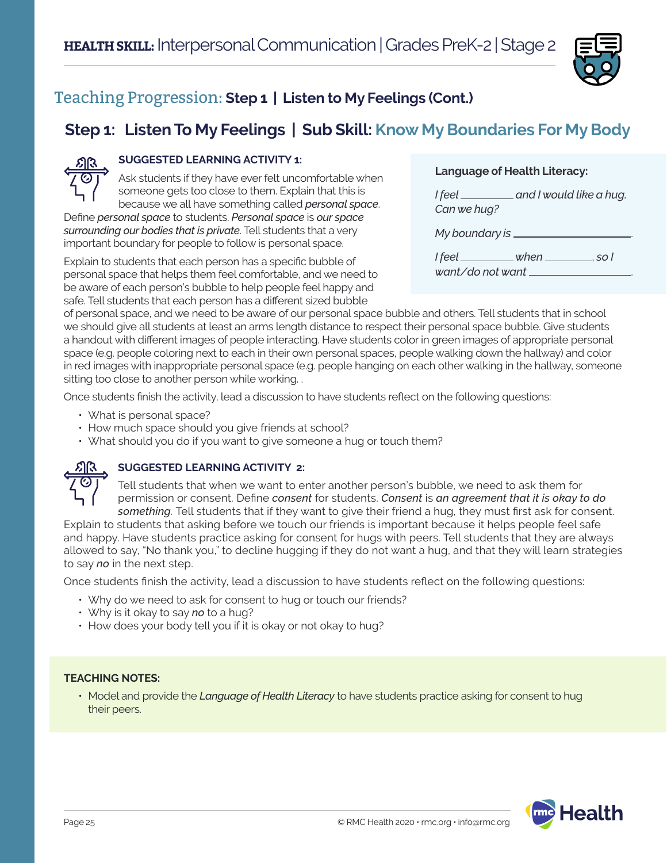

### **Step 1: Listen To My Feelings | Sub Skill: Know My Boundaries For My Body**



### **SUGGESTED LEARNING ACTIVITY 1:**

Ask students if they have ever felt uncomfortable when someone gets too close to them. Explain that this is because we all have something called *personal space*.

Define *personal space* to students. *Personal space* is *our space surrounding our bodies that is private*. Tell students that a very important boundary for people to follow is personal space.

Explain to students that each person has a specific bubble of personal space that helps them feel comfortable, and we need to be aware of each person's bubble to help people feel happy and safe. Tell students that each person has a different sized bubble

### **Language of Health Literacy:**

*I* feel \_\_\_\_\_\_\_\_\_\_\_\_\_ and I would like a hug. *Can we hug?*

*My boundary is* .

*I* feel when \_\_\_\_\_\_\_\_\_. so I *want/do not want* .

of personal space, and we need to be aware of our personal space bubble and others. Tell students that in school we should give all students at least an arms length distance to respect their personal space bubble. Give students a handout with different images of people interacting. Have students color in green images of appropriate personal space (e.g. people coloring next to each in their own personal spaces, people walking down the hallway) and color in red images with inappropriate personal space (e.g. people hanging on each other walking in the hallway, someone sitting too close to another person while working. .

Once students finish the activity, lead a discussion to have students reflect on the following questions:

- What is personal space?
- How much space should you give friends at school?
- What should you do if you want to give someone a hug or touch them?



### **SUGGESTED LEARNING ACTIVITY 2:**

Tell students that when we want to enter another person's bubble, we need to ask them for permission or consent. Define *consent* for students. *Consent* is *an agreement that it is okay to do something.* Tell students that if they want to give their friend a hug, they must first ask for consent.

Explain to students that asking before we touch our friends is important because it helps people feel safe and happy. Have students practice asking for consent for hugs with peers. Tell students that they are always allowed to say, "No thank you," to decline hugging if they do not want a hug, and that they will learn strategies to say *no* in the next step.

Once students finish the activity, lead a discussion to have students reflect on the following questions:

- Why do we need to ask for consent to hug or touch our friends?
- Why is it okay to say *no* to a hug?
- How does your body tell you if it is okay or not okay to hug?

### **TEACHING NOTES:**

• Model and provide the *Language of Health Literacy* to have students practice asking for consent to hug their peers.

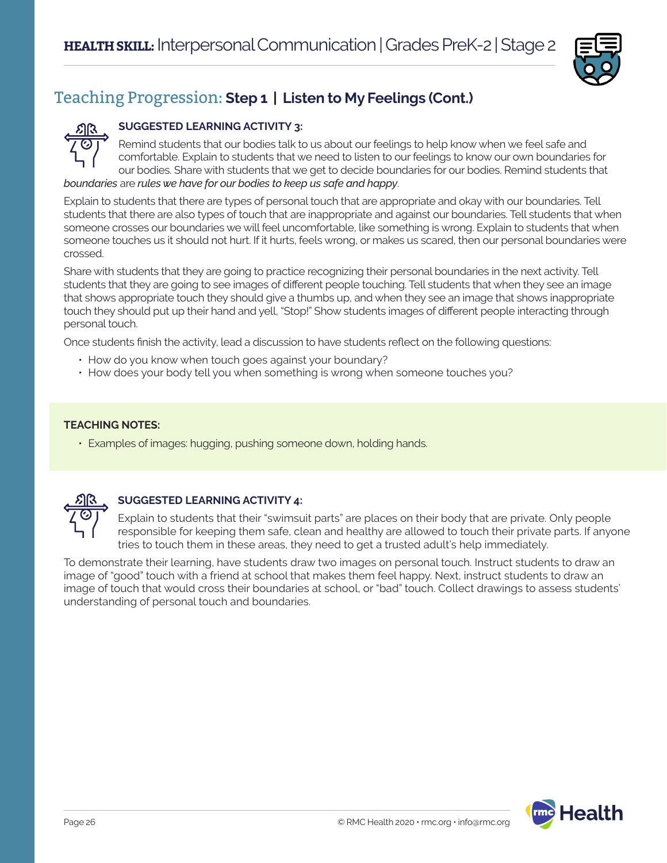

### **SUGGESTED LEARNING ACTIVITY 3:**

Remind students that our bodies talk to us about our feelings to help know when we feel safe and comfortable. Explain to students that we need to listen to our feelings to know our own boundaries for our bodies. Share with students that we get to decide boundaries for our bodies. Remind students that *boundaries* are *rules we have for our bodies to keep us safe and happy*.

Explain to students that there are types of personal touch that are appropriate and okay with our boundaries. Tell students that there are also types of touch that are inappropriate and against our boundaries. Tell students that when someone crosses our boundaries we will feel uncomfortable, like something is wrong. Explain to students that when someone touches us it should not hurt. If it hurts, feels wrong, or makes us scared, then our personal boundaries were crossed.

Share with students that they are going to practice recognizing their personal boundaries in the next activity. Tell students that they are going to see images of different people touching. Tell students that when they see an image that shows appropriate touch they should give a thumbs up, and when they see an image that shows inappropriate touch they should put up their hand and yell, "Stop!" Show students images of different people interacting through personal touch.

Once students finish the activity, lead a discussion to have students reflect on the following questions:

- How do you know when touch goes against your boundary?
- How does your body tell you when something is wrong when someone touches you?

#### **TEACHING NOTES:**

• Examples of images: hugging, pushing someone down, holding hands.



### **SUGGESTED LEARNING ACTIVITY 4:**

Explain to students that their "swimsuit parts" are places on their body that are private. Only people responsible for keeping them safe, clean and healthy are allowed to touch their private parts. If anyone tries to touch them in these areas, they need to get a trusted adult's help immediately.

To demonstrate their learning, have students draw two images on personal touch. Instruct students to draw an image of "good" touch with a friend at school that makes them feel happy. Next, instruct students to draw an image of touch that would cross their boundaries at school, or "bad" touch. Collect drawings to assess students' understanding of personal touch and boundaries.